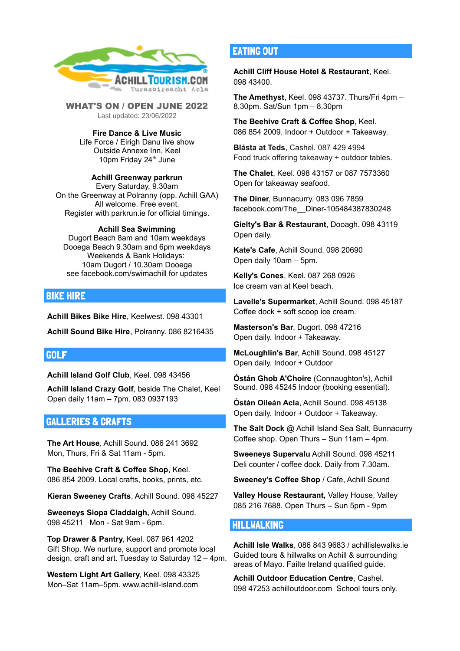

WHAT'S ON / OPEN JUNE 2022 Last updated: 23/06/2022

**Fire Dance & Live Music** Life Force / Eirigh Danu live show Outside Annexe Inn, Keel 10pm Friday 24<sup>th</sup> June

#### **Achill Greenway parkrun**

Every Saturday, 9.30am On the Greenway at Polranny (opp. Achill GAA) All welcome. Free event. Register with parkrun.ie for official timings.

#### **Achill Sea Swimming**

Dugort Beach 8am and 10am weekdays Dooega Beach 9.30am and 6pm weekdays Weekends & Bank Holidays: 10am Dugort / 10.30am Dooega see facebook.com/swimachill for updates

## BIKE HIRE

**Achill Bikes Bike Hire**, Keelwest. 098 43301

**Achill Sound Bike Hire**, Polranny. 086 8216435

### GOLF

**Achill Island Golf Club**, Keel. 098 43456

**Achill Island Crazy Golf**, beside The Chalet, Keel Open daily 11am – 7pm. 083 0937193

## GALLERIES & CRAFTS

**The Art House**, Achill Sound. 086 241 3692 Mon, Thurs, Fri & Sat 11am - 5pm.

**The Beehive Craft & Coffee Shop**, Keel. 086 854 2009. Local crafts, books, prints, etc.

**Kieran Sweeney Crafts**, Achill Sound. 098 45227

**Sweeneys Siopa Claddaigh,** Achill Sound. 098 45211 Mon - Sat 9am - 6pm.

**Top Drawer & Pantry**, Keel. 087 961 4202 Gift Shop. We nurture, support and promote local design, craft and art. Tuesday to Saturday 12 – 4pm.

**Western Light Art Gallery**, Keel. 098 43325 Mon–Sat 11am–5pm. www.achill-island.com

## EATING OUT

**Achill Cliff House Hotel & Restaurant**, Keel. 098 43400.

**The Amethyst**, Keel. 098 43737. Thurs/Fri 4pm – 8.30pm. Sat/Sun 1pm – 8.30pm

**The Beehive Craft & Coffee Shop**, Keel. 086 854 2009. Indoor + Outdoor + Takeaway.

**Blásta at Teds**, Cashel. 087 429 4994 Food truck offering takeaway + outdoor tables.

**The Chalet**, Keel. 098 43157 or 087 7573360 Open for takeaway seafood.

**The Diner**, Bunnacurry. 083 096 7859 facebook.com/The\_\_Diner-105484387830248

**Gielty's Bar & Restaurant**, Dooagh. 098 43119 Open daily.

**Kate's Cafe**, Achill Sound. 098 20690 Open daily 10am – 5pm.

**Kelly's Cones**, Keel. 087 268 0926 Ice cream van at Keel beach.

**Lavelle's Supermarket**, Achill Sound. 098 45187 Coffee dock + soft scoop ice cream.

**Masterson's Bar**, Dugort. 098 47216 Open daily. Indoor + Takeaway.

**McLoughlin's Bar**, Achill Sound. 098 45127 Open daily. Indoor + Outdoor

**Óstán Ghob A'Choire** (Connaughton's), Achill Sound. 098 45245 Indoor (booking essential).

**Óstán Oileán Acla**, Achill Sound. 098 45138 Open daily. Indoor + Outdoor + Takeaway.

**The Salt Dock** @ Achill Island Sea Salt, Bunnacurry Coffee shop. Open Thurs – Sun 11am – 4pm.

**Sweeneys Supervalu** Achill Sound. 098 45211 Deli counter / coffee dock. Daily from 7.30am.

**Sweeney's Coffee Shop** / Cafe, Achill Sound

**Valley House Restaurant,** Valley House, Valley 085 216 7688. Open Thurs – Sun 5pm - 9pm

## HILLWALKING

**Achill Isle Walks**, 086 843 9683 / achillislewalks.ie Guided tours & hillwalks on Achill & surrounding areas of Mayo. Failte Ireland qualified guide.

**Achill Outdoor Education Centre**, Cashel. 098 47253 achilloutdoor.com School tours only.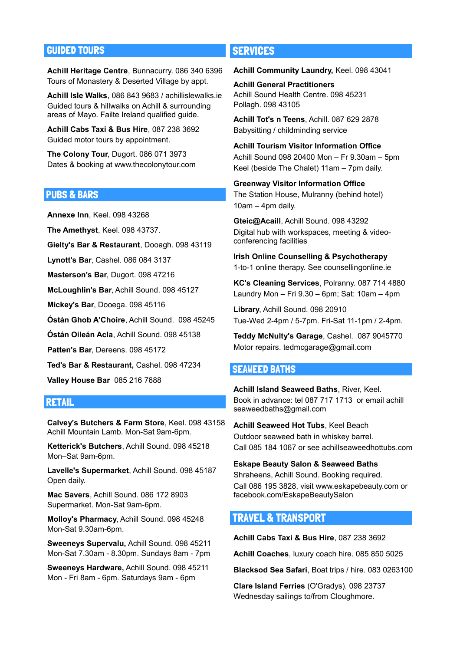# GUIDED TOURS

**Achill Heritage Centre**, Bunnacurry. 086 340 6396 Tours of Monastery & Deserted Village by appt.

**Achill Isle Walks**, 086 843 9683 / achillislewalks.ie Guided tours & hillwalks on Achill & surrounding areas of Mayo. Failte Ireland qualified guide.

**Achill Cabs Taxi & Bus Hire**, 087 238 3692 Guided motor tours by appointment.

**The Colony Tour**, Dugort. 086 071 3973 Dates & booking at www.thecolonytour.com

## PUBS & BARS

**Annexe Inn**, Keel. 098 43268

**The Amethyst**, Keel. 098 43737.

**Gielty's Bar & Restaurant**, Dooagh. 098 43119

**Lynott's Bar**, Cashel. 086 084 3137

**Masterson's Bar**, Dugort. 098 47216

**McLoughlin's Bar**, Achill Sound. 098 45127

**Mickey's Bar**, Dooega. 098 45116

**Óstán Ghob A'Choire**, Achill Sound. 098 45245

**Óstán Oileán Acla**, Achill Sound. 098 45138

**Patten's Bar**, Dereens. 098 45172

**Ted's Bar & Restaurant,** Cashel. 098 47234

**Valley House Bar** 085 216 7688

## RETAIL

**Calvey's Butchers & Farm Store**, Keel. 098 43158 Achill Mountain Lamb. Mon-Sat 9am-6pm.

**Ketterick's Butchers**, Achill Sound. 098 45218 Mon–Sat 9am-6pm.

**Lavelle's Supermarket**, Achill Sound. 098 45187 Open daily.

**Mac Savers**, Achill Sound. 086 172 8903 Supermarket. Mon-Sat 9am-6pm.

**Molloy's Pharmacy**, Achill Sound. 098 45248 Mon-Sat 9.30am-6pm.

**Sweeneys Supervalu,** Achill Sound. 098 45211 Mon-Sat 7.30am - 8.30pm. Sundays 8am - 7pm

**Sweeneys Hardware,** Achill Sound. 098 45211 Mon - Fri 8am - 6pm. Saturdays 9am - 6pm

# **SERVICES**

**Achill Community Laundry,** Keel. 098 43041

**Achill General Practitioners** Achill Sound Health Centre. 098 45231 Pollagh. 098 43105

**Achill Tot's n Teens**, Achill. 087 629 2878 Babysitting / childminding service

**Achill Tourism Visitor Information Office** Achill Sound 098 20400 Mon – Fr 9.30am – 5pm Keel (beside The Chalet) 11am – 7pm daily.

**Greenway Visitor Information Office** The Station House, Mulranny (behind hotel) 10am – 4pm daily.

**Gteic@Acaill**, Achill Sound. 098 43292 Digital hub with workspaces, meeting & videoconferencing facilities

**Irish Online Counselling & Psychotherapy** 1-to-1 online therapy. See counsellingonline.ie

**KC's Cleaning Services**, Polranny. 087 714 4880 Laundry Mon – Fri 9.30 – 6pm; Sat: 10am – 4pm

**Library**, Achill Sound. 098 20910 Tue-Wed 2-4pm / 5-7pm. Fri-Sat 11-1pm / 2-4pm.

**Teddy McNulty's Garage**, Cashel. 087 9045770 Motor repairs. tedmcgarage@gmail.com

## SEAWEED BATHS

**Achill Island Seaweed Baths**, River, Keel. Book in advance: tel 087 717 1713 or email achill seaweedbaths@gmail.com

**Achill Seaweed Hot Tubs**, Keel Beach Outdoor seaweed bath in whiskey barrel. Call 085 184 1067 or see achillseaweedhottubs.com

**Eskape Beauty Salon & Seaweed Baths**

Shraheens, Achill Sound. Booking required. Call 086 195 3828, visit www.eskapebeauty.com or facebook.com/EskapeBeautySalon

# TRAVEL & TRANSPORT

**Achill Cabs Taxi & Bus Hire**, 087 238 3692

**Achill Coaches**, luxury coach hire. 085 850 5025

**Blacksod Sea Safari**, Boat trips / hire. 083 0263100

**Clare Island Ferries** (O'Gradys). 098 23737 Wednesday sailings to/from Cloughmore.